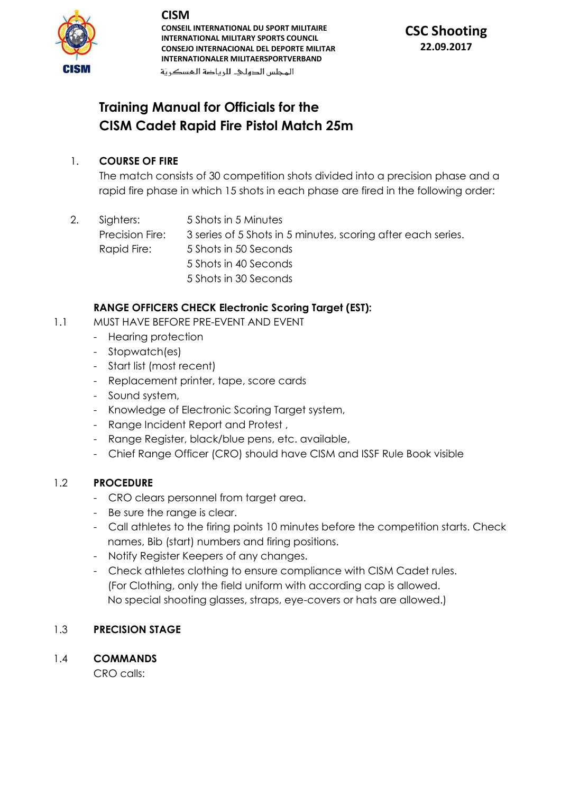

**CONSEIL INTERNATIONAL DU SPORT MILITAIRE INTERNATIONAL MILITARY SPORTS COUNCIL CONSEJO INTERNACIONAL DEL DEPORTE MILITAR INTERNATIONALER MILITAERSPORTVERBAND**

المحلس الدهلك للرباضة المسكرية

# **CSC Shooting 22.09.2017**

# **Training Manual for Officials for the CISM Cadet Rapid Fire Pistol Match 25m**

#### 1. **COURSE OF FIRE**

The match consists of 30 competition shots divided into a precision phase and a rapid fire phase in which 15 shots in each phase are fired in the following order:

2. Sighters: 5 Shots in 5 Minutes Precision Fire: 3 series of 5 Shots in 5 minutes, scoring after each series. Rapid Fire: 5 Shots in 50 Seconds 5 Shots in 40 Seconds 5 Shots in 30 Seconds

## **RANGE OFFICERS CHECK Electronic Scoring Target (EST):**

- 1.1 MUST HAVE BEFORE PRE-EVENT AND EVENT
	- Hearing protection
	- Stopwatch(es)
	- Start list (most recent)
	- Replacement printer, tape, score cards
	- Sound system,
	- Knowledge of Electronic Scoring Target system,
	- Range Incident Report and Protest ,
	- Range Register, black/blue pens, etc. available,
	- Chief Range Officer (CRO) should have CISM and ISSF Rule Book visible

#### 1.2 **PROCEDURE**

- CRO clears personnel from target area.
- Be sure the range is clear.
- Call athletes to the firing points 10 minutes before the competition starts. Check names, Bib (start) numbers and firing positions.
- Notify Register Keepers of any changes.
- Check athletes clothing to ensure compliance with CISM Cadet rules. (For Clothing, only the field uniform with according cap is allowed. No special shooting glasses, straps, eye-covers or hats are allowed.)

## 1.3 **PRECISION STAGE**

1.4 **COMMANDS** 

CRO calls: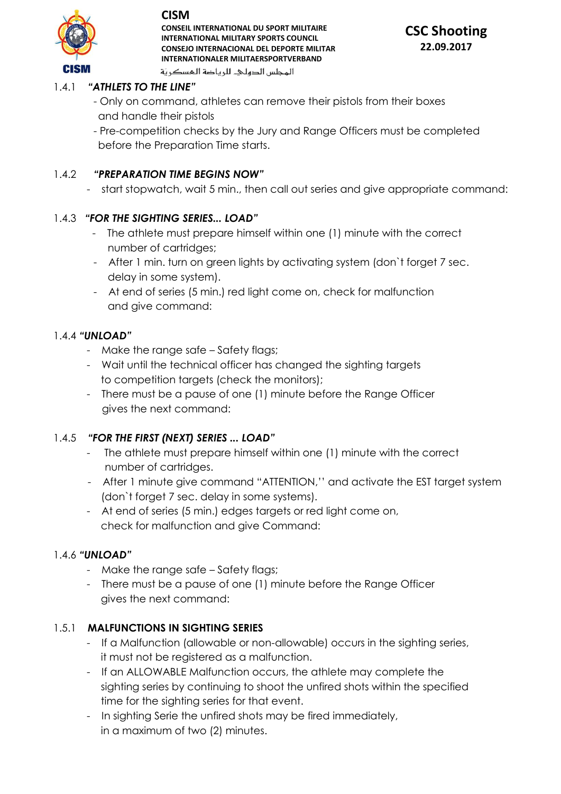

**CONSEIL INTERNATIONAL DU SPORT MILITAIRE INTERNATIONAL MILITARY SPORTS COUNCIL CONSEJO INTERNACIONAL DEL DEPORTE MILITAR INTERNATIONALER MILITAERSPORTVERBAND** المجلس الدهليء للرياضة المسكرية



### 1.4.1 *"ATHLETS TO THE LINE"*

- Only on command, athletes can remove their pistols from their boxes and handle their pistols
- Pre-competition checks by the Jury and Range Officers must be completed before the Preparation Time starts.

#### 1.4.2 *"PREPARATION TIME BEGINS NOW"*

- start stopwatch, wait 5 min., then call out series and give appropriate command:

### 1.4.3 *"FOR THE SIGHTING SERIES... LOAD"*

- The athlete must prepare himself within one (1) minute with the correct number of cartridges;
- After 1 min. turn on green lights by activating system (don`t forget 7 sec. delay in some system).
- At end of series (5 min.) red light come on, check for malfunction and give command:

#### 1.4.4 *"UNLOAD"*

- Make the range safe Safety flags;
- Wait until the technical officer has changed the sighting targets to competition targets (check the monitors);
- There must be a pause of one (1) minute before the Range Officer gives the next command:

#### 1.4.5 *"FOR THE FIRST (NEXT) SERIES ... LOAD"*

- The athlete must prepare himself within one (1) minute with the correct number of cartridges.
- After 1 minute give command "ATTENTION,'' and activate the EST target system (don`t forget 7 sec. delay in some systems).
- At end of series (5 min.) edges targets or red light come on, check for malfunction and give Command:

#### 1.4.6 *"UNLOAD"*

- Make the range safe Safety flags;
- There must be a pause of one (1) minute before the Range Officer gives the next command:

#### 1.5.1 **MALFUNCTIONS IN SIGHTING SERIES**

- If a Malfunction (allowable or non-allowable) occurs in the sighting series, it must not be registered as a malfunction.
- If an ALLOWABLE Malfunction occurs, the athlete may complete the sighting series by continuing to shoot the unfired shots within the specified time for the sighting series for that event.
- In sighting Serie the unfired shots may be fired immediately, in a maximum of two (2) minutes.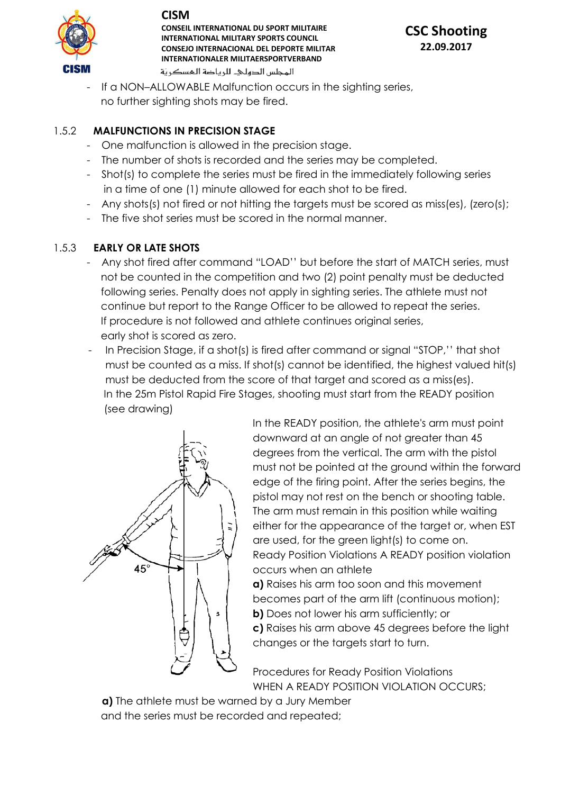

**CONSEIL INTERNATIONAL DU SPORT MILITAIRE INTERNATIONAL MILITARY SPORTS COUNCIL CONSEJO INTERNACIONAL DEL DEPORTE MILITAR INTERNATIONALER MILITAERSPORTVERBAND** المحلس الدهلى للرياضة المسكرية



If a NON-ALLOWABLE Malfunction occurs in the sighting series, no further sighting shots may be fired.

### 1.5.2 **MALFUNCTIONS IN PRECISION STAGE**

- One malfunction is allowed in the precision stage.
- The number of shots is recorded and the series may be completed.
- Shot(s) to complete the series must be fired in the immediately following series in a time of one (1) minute allowed for each shot to be fired.
- Any shots(s) not fired or not hitting the targets must be scored as miss(es), (zero(s);
- The five shot series must be scored in the normal manner.

#### 1.5.3 **EARLY OR LATE SHOTS**

- Any shot fired after command "LOAD'' but before the start of MATCH series, must not be counted in the competition and two (2) point penalty must be deducted following series. Penalty does not apply in sighting series. The athlete must not continue but report to the Range Officer to be allowed to repeat the series. If procedure is not followed and athlete continues original series, early shot is scored as zero.
- In Precision Stage, if a shot(s) is fired after command or signal "STOP,'' that shot must be counted as a miss. If shot(s) cannot be identified, the highest valued hit(s) must be deducted from the score of that target and scored as a miss(es). In the 25m Pistol Rapid Fire Stages, shooting must start from the READY position (see drawing)



In the READY position, the athlete's arm must point downward at an angle of not greater than 45 degrees from the vertical. The arm with the pistol must not be pointed at the ground within the forward edge of the firing point. After the series begins, the pistol may not rest on the bench or shooting table. The arm must remain in this position while waiting either for the appearance of the target or, when EST are used, for the green light(s) to come on. Ready Position Violations A READY position violation occurs when an athlete

**a)** Raises his arm too soon and this movement becomes part of the arm lift (continuous motion); **b)** Does not lower his arm sufficiently; or **c)** Raises his arm above 45 degrees before the light changes or the targets start to turn.

Procedures for Ready Position Violations WHEN A READY POSITION VIOLATION OCCURS;

 **a)** The athlete must be warned by a Jury Member and the series must be recorded and repeated;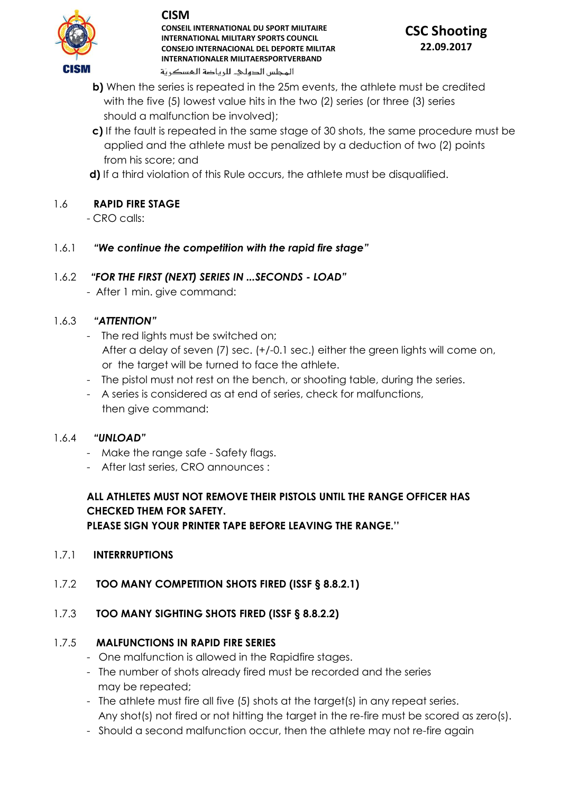

#### **CONSEIL INTERNATIONAL DU SPORT MILITAIRE INTERNATIONAL MILITARY SPORTS COUNCIL CONSEJO INTERNACIONAL DEL DEPORTE MILITAR INTERNATIONALER MILITAERSPORTVERBAND** المحلس الدهلى للرياضة المسكرية

# **CSC Shooting 22.09.2017**

- **b)** When the series is repeated in the 25m events, the athlete must be credited with the five (5) lowest value hits in the two (2) series (or three (3) series should a malfunction be involved);
- **c)** If the fault is repeated in the same stage of 30 shots, the same procedure must be applied and the athlete must be penalized by a deduction of two (2) points from his score; and
- **d)** If a third violation of this Rule occurs, the athlete must be disqualified.

# 1.6 **RAPID FIRE STAGE**

- CRO calls:

1.6.1 *"We continue the competition with the rapid fire stage"*

## 1.6.2 *"FOR THE FIRST (NEXT) SERIES IN ...SECONDS - LOAD"*

- After 1 min. give command:

## 1.6.3 *"ATTENTION"*

- The red lights must be switched on; After a delay of seven (7) sec. (+/-0.1 sec.) either the green lights will come on, or the target will be turned to face the athlete.
- The pistol must not rest on the bench, or shooting table, during the series.
- A series is considered as at end of series, check for malfunctions, then give command:

#### 1.6.4 *"UNLOAD"*

- Make the range safe Safety flags.
- After last series, CRO announces :

# **ALL ATHLETES MUST NOT REMOVE THEIR PISTOLS UNTIL THE RANGE OFFICER HAS CHECKED THEM FOR SAFETY.**

**PLEASE SIGN YOUR PRINTER TAPE BEFORE LEAVING THE RANGE.''** 

## 1.7.1 **INTERRRUPTIONS**

## 1.7.2 **TOO MANY COMPETITION SHOTS FIRED (ISSF § 8.8.2.1)**

# 1.7.3 **TOO MANY SIGHTING SHOTS FIRED (ISSF § 8.8.2.2)**

# 1.7.5 **MALFUNCTIONS IN RAPID FIRE SERIES**

- One malfunction is allowed in the Rapidfire stages.
- The number of shots already fired must be recorded and the series may be repeated;
- The athlete must fire all five (5) shots at the target(s) in any repeat series. Any shot(s) not fired or not hitting the target in the re-fire must be scored as zero(s).
- Should a second malfunction occur, then the athlete may not re-fire again